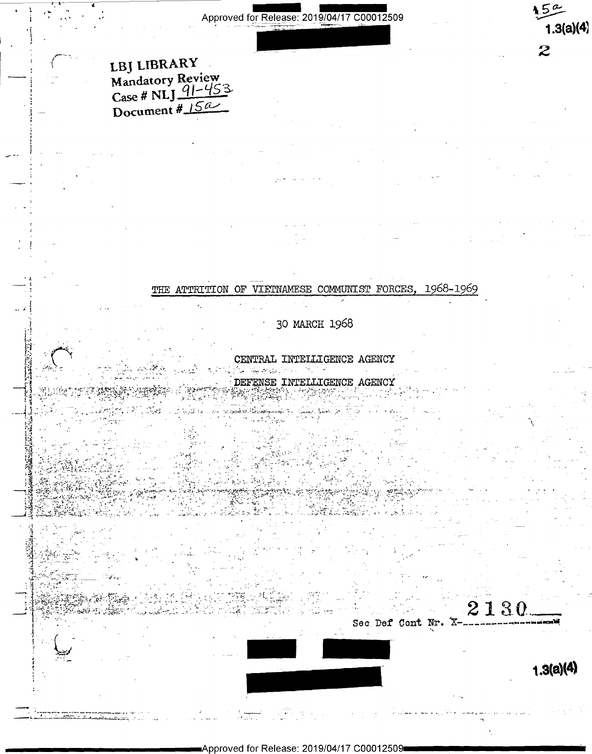# LBJ LIBRARY Mandatory Review<br>Case # NLJ 4-453 Document  $\frac{15a}{15a}$

THE ATTRITION OF VIETNAMESE COMMUNIST FORCES, 1968-1969

30 MARCH 1968

CENTRAL INTELLIGENCE AGENCY

أبا مركبا اللاستهليك أأنعلن DEFENSE INTELLIGENCE AGENCY

2130 Sec Def Cont Nr. X-

 $1.3(a)(4)$ 

 $15<sup>o</sup>$ 

 $\overline{z}$ 

 $1.3(a)(4)$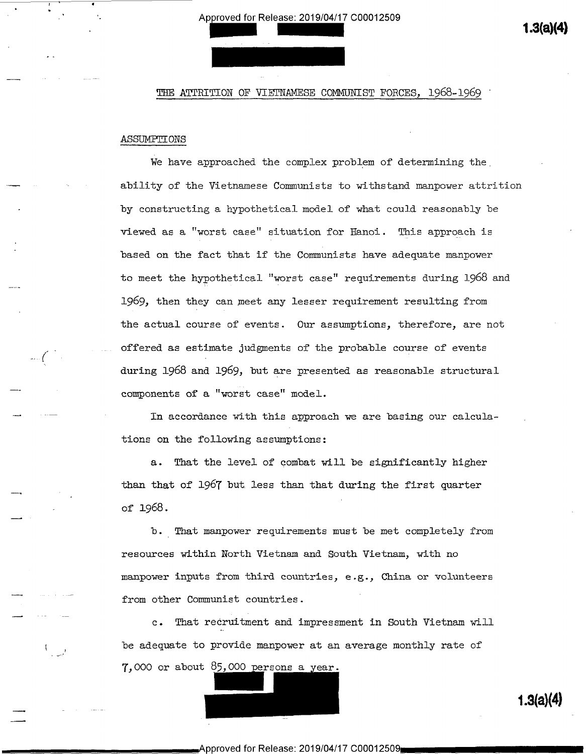THE ATTRITION OF VIETNAMESE COMMUNIST FORCES, 1968-1969

## ASSUMETIONS

'

1

\_.... <sup>7</sup> <sup>t</sup>

 $\overline{\phantom{0}}$ 

We have approached the complex problem of determining the ability of the Vietnamese Communists to withstand manpower attrition by constructing a hypothetical model of what could reasonably be viewed as a "worst case" situation for Hanoi. This approach is based on the fact that if the Comunists have adequate manpower to meet the hypothetical "worst case" requirements during 1968 and l969, then they can meet any lesser requirement resulting from the actual course of events. Our assumptions, therefore, are not offered as estimate judgments of the probable course of events ls( T . during l968 and l969, but are presented as reasonable structural components of a "worst case" model.

> In accordance with this approach we are basing our calculations on the following assumptions:

a. That the level of combat will be significantly higher than that of 1967 but less than that during the first quarter of 1968 .

b.\_ That manpower requirements must be met completely from resources within North Vietnam and South Vietnam, with no manpower inputs from third countries, e.g., China or volunteers from other Communist countries.

c. That recruitment and impressment in South Vietnam will be adequate to provide manpower at an average monthly rate of  $7,000$  or about  $85,000$  persons a year.

1.3(a)(4)

1.3(a)(4)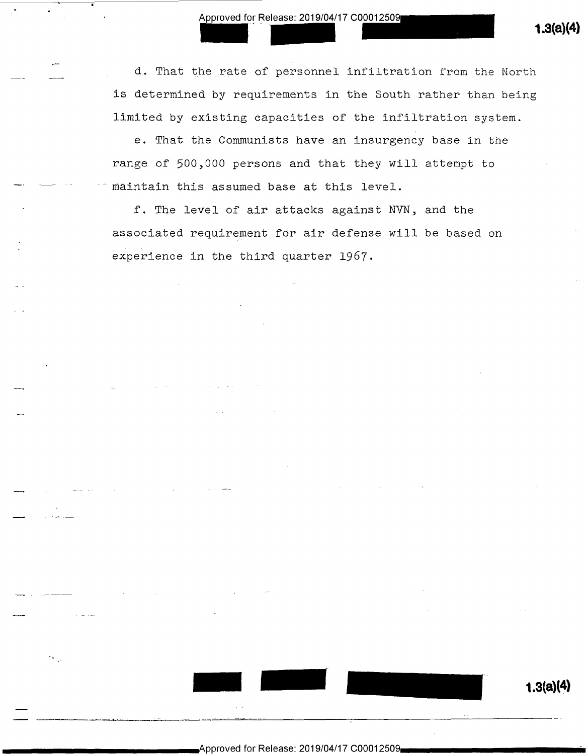Approved for Release: 2019/04/17 C00012509 1.3(a)(4)<br>
1.3(a)(4)  $\Box$  if a. That the rate of personnel infiltration from the North is determined by requirements in the South rather than being limited by existing capacities of the infiltration system.

> e. That the Communists have an insurgency base in the range of 500,000 persons and that they will attempt to maintain this assumed base at this level.

f. The level of air attacks against NVN, and the associated requirement for air defense will be based on experience in the third quarter 1967.

Approved for Release: 2019/04/17 C00012509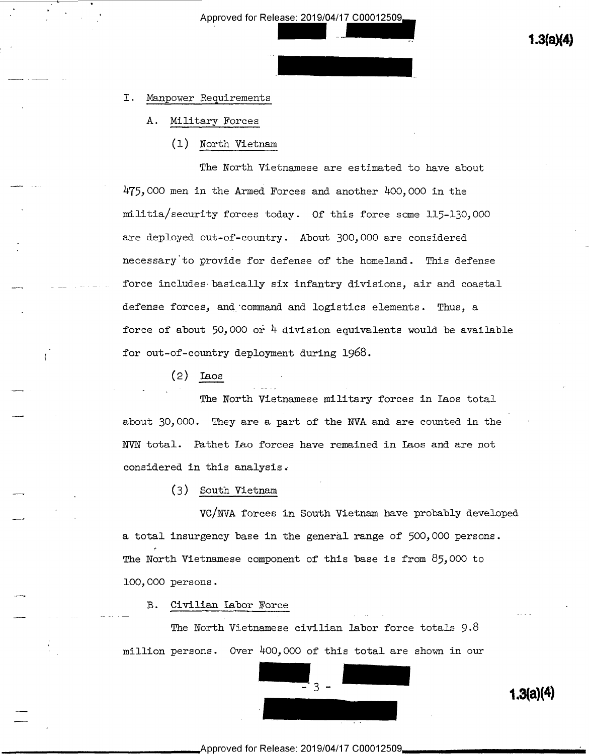Approved for Release: 2019/04/17 C00012509 oroved for Release: 2019/04/17 C00012509<br>**1.3(a)(4)** 

# I. Manpower Requirements

- A. Military Forces
	- (1) North Vietnam

The North Vietnamese are estimated to have about  $475,000$  men in the Armed Forces and another  $400,000$  in the militia/security forces today. Of this force some ll5-130,000 are deployed out-of-country. About 300,000 are considered necessary'to provide for defense of the homeland. This defense force includes basically six infantry divisions, air and coastal defense forces, and command and logistics elements. Thus, a force of about 50,000 or  $\frac{1}{4}$  division equivalents would be available for out-of-country deployment during 1968.

 $(2)$  Leos

 $\overline{a}$ 

.\_\_,

.\_\_\_\_,

The North Vietnamese military forces in Laos total about 30,000. They are a part of the NVA and are counted in the NVN total. Eathet Lao forces have remained in Laos and are not considered in this analysis.

~

(3) South Vietnam

VC/NVA forces in South Vietnam have probably developed a total insurgency base in the general range of 500,000 persons. The North Vietnamese component of this base is from 85,000 to l00,000 persons.

B. Civilian Labor Force

The North Vietnamese civilian labor force totals 9.8 million persons. Over  $400,000$  of this total are shown in our

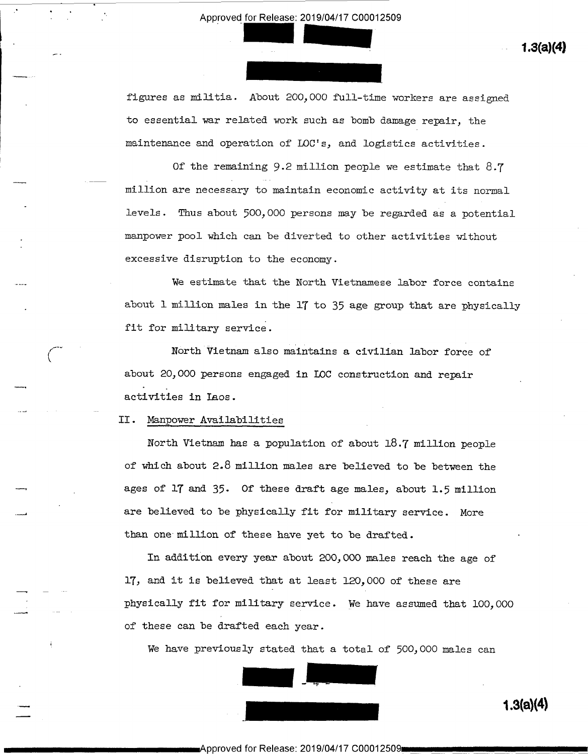figures as militia. About 200,000 full-time workers are assigned to essential war related work such as bomb damage repair, the maintenance and operation of LOC's, and logistics activities.

Of the remaining 9.2 million people we estimate that 8.7 million are necessary to maintain economic activity at its normal levels. Thus about 500,000 persons may be regarded as a potential manpower pool which can be diverted to other activities without excessive disruption to the economy.

We estimate that the North Vietnamese labor force contains about l million males in the lT to 35 age group that are physically fit for military service.

North Vietnam also maintains a civilian labor force of about 20,000 persons engaged in IOC construction and repair ..\_\_. . \_ activities in Laos.

II. Manpower Availabilities

I 7'

Q

Q

North Vietnam has a population of about 18.7 million people of which about 2.8 million males are believed to be between the ages of 17 and 35. Of these draft age males, about 1.5 million are believed to be physically fit for military service. More than one million of these have yet to be drafted.

In addition every year about 200,000 males reach the age of 17, and it is believed that at least 120,000 of these are <sup>f</sup>physically fit for military service. we have assumed that l00,000 of these can be drafted each year.

We have previously stated that a total of 500,000 males can



 $\equiv$  1.3(a)(4)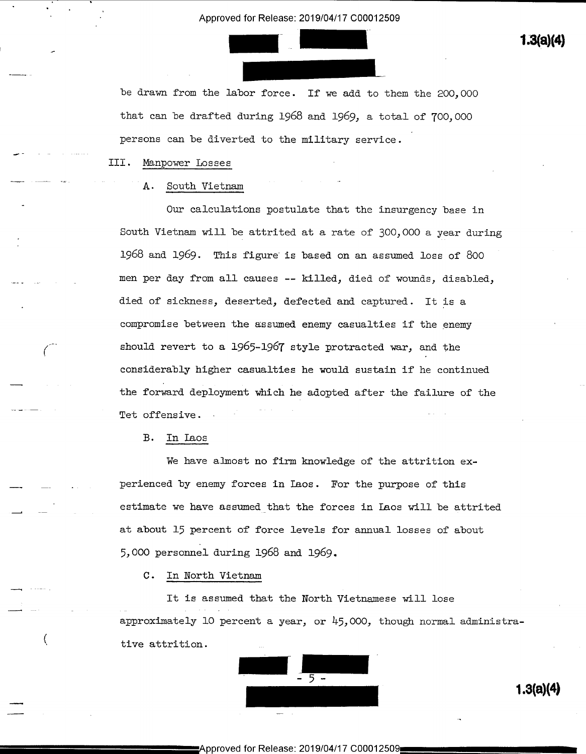Approved for Release: 2019/04/17 C00012509<br> **1.3(a)(4)**<br> **1.3(a)(4)** 

be drawn from the labor force. If we add to them the 200,000 that can be drafted during 1968 and 1969, a total of 700,000 persons can be diverted to the military service.

III. Manpower Losses

للمسترد المراجع العام المعام المواضيع المواضيع المواضيع المواضيع المواضيع المواضيع المواضيع المواضيع المواضيع<br>المواضيع

\_\_\_\_

# A. South Vietnam

Our calculations postulate that the insurgency base in South Vietnam will be attrited at a rate of 300,000 a year during 1968 and 1969. This figure is based on an assumed loss of 800 men per day from all causes -- killed, died of wounds, disabled, died of sickness, deserted, defected and captured. It is a compromise between the assumed enemy casualties if the enemy should revert to a 1965-1967 style protracted war, and the considerably higher casualties he would sustain if he continued the forward deployment which he adopted after the failure of the Tet offensive. » \* " \*

B. In Iaos

We have almost no firm knowledge of the attrition experienced by enemy forces in Iaos. For the purpose of this estimate we have assumed that the forces in Laos will be attrited at about l5 percent of force levels for annual losses of about 5,000 personnel during l968 and 1969.

C. In North Vietnam

It is assumed that the North Vietnamese will lose approximately 10 percent a year, or  $45,000$ , though normal administrative attrition.

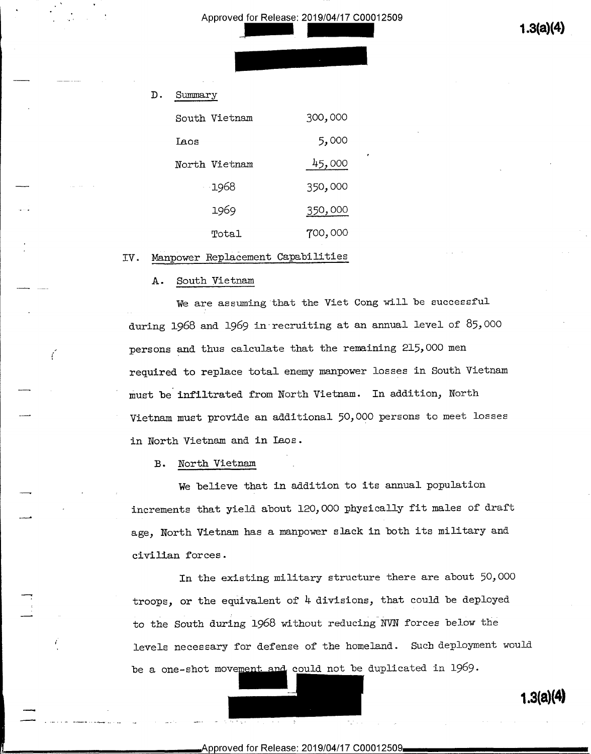$1.3(a)(4)$ 

# D. Sumary

|                 | South Vietnam | 300,000 |
|-----------------|---------------|---------|
|                 | Laos          | 5,000   |
|                 | North Vietnam | 45,000  |
| and the control | -1968         | 350,000 |
| $\sim$          | 1969          | 350,000 |
|                 | Total         | 700,000 |

# IV. Manpower Replacement Capabilities

# A. South Vietnam

we are assuming that the Viet Cong will be successful during 1968 and 1969 in recruiting at an annual level of 85,000 persons and thus calculate that the remaining 215,000 men required to replace total enemy manpower losses in South Vietnam must be infiltrated from North Vietnam. In addition, North Vietnam must provide an additional 50,000 persons to meet losses in North Vietnam and in Laos.

v

B. North Vietnam

 $\overline{\phantom{a}}$ 

ť

,1.-.

..\_\_ \_

We believe that in addition to its annual population increments that yield about 120,000 physically fit males of draft age, North Vietnam has a manpower slack in both its military and civilian forces.

In the existing military structure there are about 50,000 troops, or the equivalent of  $4$  divisions, that could be deployed \_\_. \_ to the South during 1968 without reducing NVN forces below the levels necessary for defense of the homeland. Such deployment would be a one-shot movement and could not be duplicated in  $1969$ .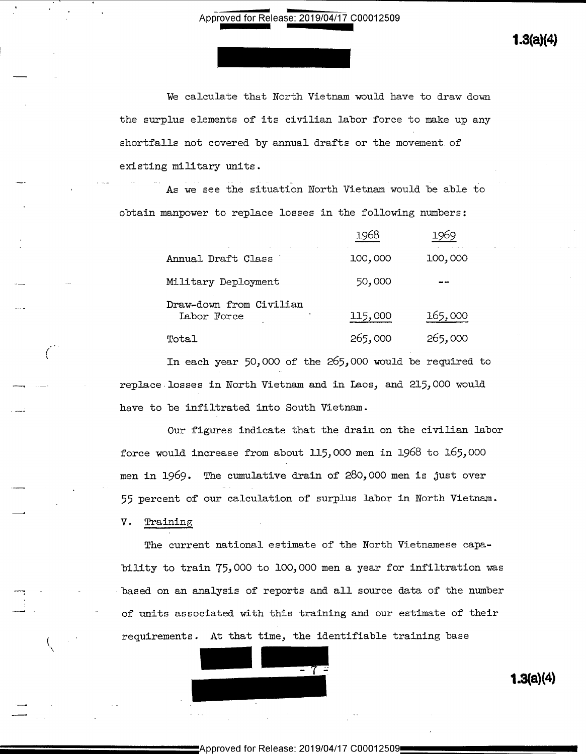$1.3(a)(4)$ 

We calculate that North Vietnam would have to draw down the surplus elements of its civilian labor force to make up any shortfalls not covered by annual drafts or the movement of existing military units.

As we see the situation North Vietnam would be able to obtain manpower to replace losses in the following numbers:

| $\bullet$<br>$\cdot$ |                                        | 1968    | 1969    |
|----------------------|----------------------------------------|---------|---------|
|                      | Annual Draft Class                     | 100,000 | 100,000 |
|                      | Military Deployment                    | 50,000  | - -     |
| $\sim$ $\sim$        | Draw-down from Civilian<br>Labor Force | 115,000 | 165,000 |
| $\sim$ $\sim$ $\sim$ | Total                                  | 265,000 | 265,000 |

In each year 50,000 of the 265,000 would be required to replace losses in North Vietnam and in Laos, and 215,000 would have to be infiltrated into South Vietnam.

Our figures indicate that the drain on the civilian labor force would increase from about ll5,000 men in 1968 to 165,000 men in 1969. The cumulative drain of 280,000 men is just over 55 percent of our calculation of surplus labor in North Vietnam.

V. Training

The current national estimate of the North Vietnamese capability to train T5,000 to lO0,000 men a year for infiltration was based on an analysis of reports and all source data of the nuber of units associated with this training and our estimate of their requirements. At that time, the identifiable training base

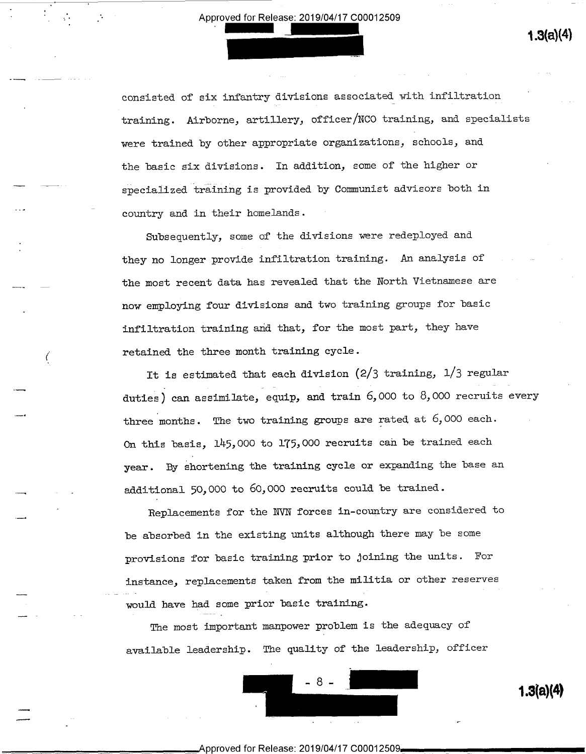consisted of six infantry divisions associated with infiltration training. Airborne, artillery, officer/NCO training, and specialists were trained by other appropriate organizations, schools, and the basic six divisions. In addition, some of the higher or specialized training is provided by Communist advisors both in country and in their homelands.

Subsequently, some of the divisions were redeployed and they no longer provide infiltration training. An analysis of the most recent data has revealed that the North Vietnamese are now employing four divisions and two training groups for basic infiltration training and that, for the most part, they have retained the three month training cycle.

 $\sim$ 

...\_.1

.\_\_\_.,

en de la companya de la companya de la companya de la companya de la companya de la companya de la companya d<br>La companya de la companya de la companya de la companya de la companya de la companya de la companya de la co<br>L

 $\equiv$ 

It is estimated that each division  $(2/3 \text{ training}, 1/3 \text{ regular})$ duties) can assimilate, equip, and train 6,000 to 8,000 recruits every three months. The two training groups are rated at 6,000 each. On this basis, lh5,000 to lT5,000 recruits can be trained each year. By shortening the training cycle or expanding the base an additional 50,000 to 60,000 recruits could be trained.

Replacements for the NVN forces in-country are considered to be absorbed in the existing units although there may be some provisions for basic training prior to joining the units. For instance, replacements taken from the militia or other reserves would have had some prior basic training.

The most important manpower problem is the adequacy of available leadership. The quality of the leadership, officer



 $1.3(a)(4)$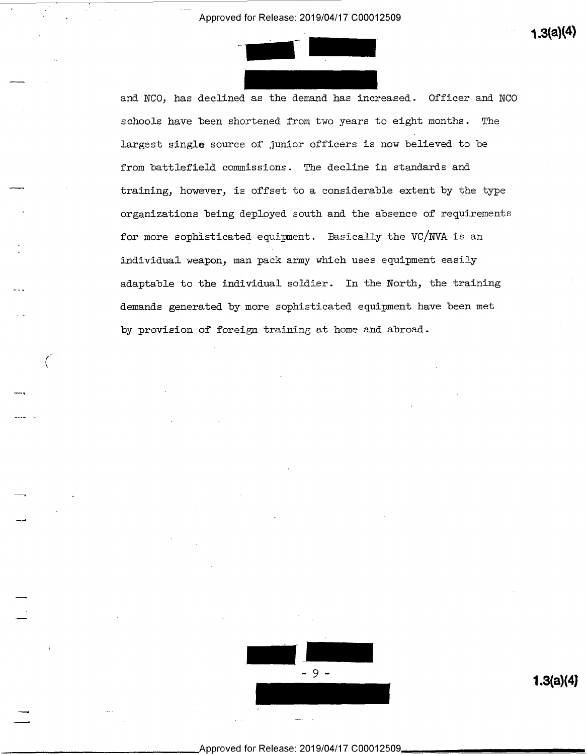

—

(,

 $\overline{\phantom{a}}$ 

\_....a

 $\overline{\phantom{a}}$ 

and NCO, has declined as the demand has increased. Officer and NCO schools have been shortened from two years to eight months. The largest single source of junior officers is now believed to be from battlefield commissions. The decline in standards and training, however, is offset to a considerable extent by the type organizations being deployed south and the absence of requirements for more sophisticated equipment. Basically the VC/NVA is an individual weapon, man pack army which uses equipment easily adaptable to the individual soldier. In the North, the training demands generated by more sophisticated equipment have been met by provision of foreign training at home and abroad.



Approved for Release: 2019/0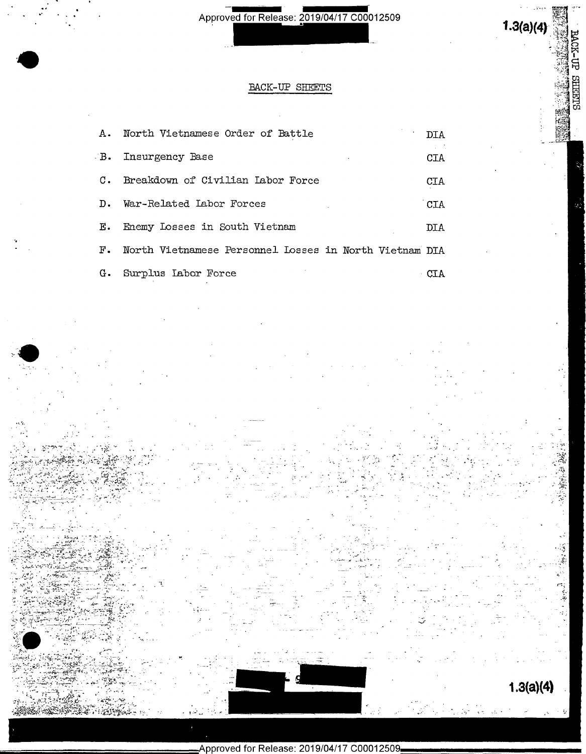# $1.3(a)(4)$

**BACK-UP SHEETS** 

鹦

# BACK-UP SHEETS

| A.,              | North Vietnamese Order of Battle                       | DIA        |
|------------------|--------------------------------------------------------|------------|
| $-B$ .           | Insurgency Base                                        | CIA        |
| $\mathfrak{c}$ . | Breakdown of Civilian Labor Force                      | <b>CTA</b> |
| D.               | War-Related Labor Forces                               | CIA        |
| Е.               | Enemy Losses in South Vietnam                          | DIA        |
| $F$ .            | North Vietnamese Personnel Losses in North Vietnam DIA |            |
| G.               | Surplus Labor Force                                    |            |

 $1.3(a)(4)$ 

送録 高等

 $\frac{1}{2}$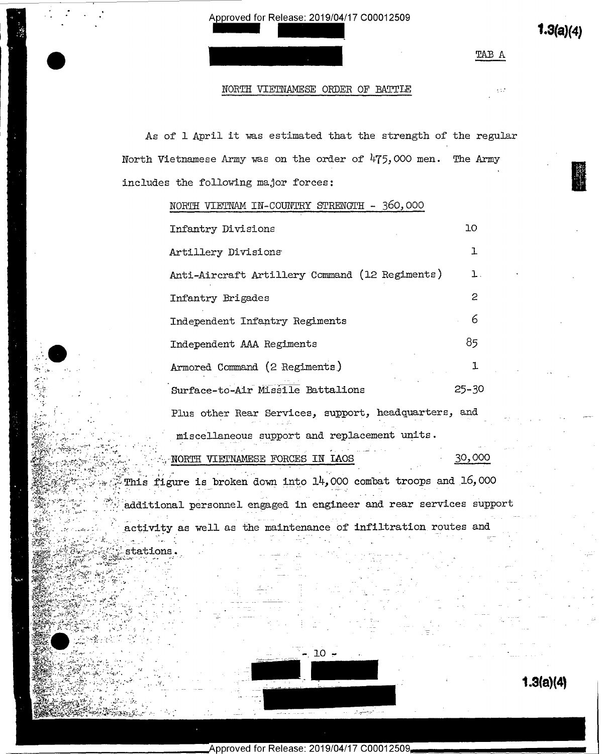$1.3(a)(4)$ 

TAB A

 $\gamma$  17

# NORTH VIETNAMESE ORDER OF BATTLE

As of 1 April it was estimated that the strength of the regular North Vietnamese Army was on the order of 475,000 men. The Army includes the following major forces:

NORTH VIETNAM IN-COUNTRY STRENGTH - 360,000

| Infantry Divisions                                   | 10        |
|------------------------------------------------------|-----------|
| Artillery Divisions                                  | ı         |
| Anti-Aircraft Artillery Command (12 Regiments)       | ı.        |
| Infantry Brigades                                    | 2         |
| Independent Infantry Regiments                       | 6         |
| Independent AAA Regiments                            | 85        |
| Armored Command (2 Regiments)                        | 1         |
| Surface-to-Air Missile Battalions                    | $25 - 30$ |
| Plus other Rear Services, support, headquarters, and |           |
| miscellaneous support and replacement units.         |           |
| VIETNAMESE FORCES IN LAOS<br>NORTH ·                 | 30,000    |

This figure is broken down into 14,000 combat troops and 16,000 additional personnel engaged in engineer and rear services support activity as well as the maintenance of infiltration routes and

stations.



Approved for Release: 2019/04/17 C00012509,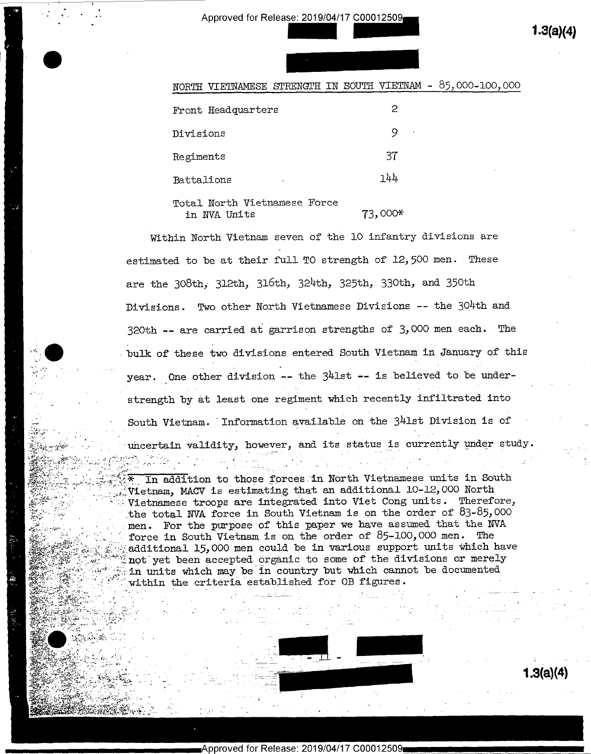$1.3(a)(4)$ 

| . |  |  |  |
|---|--|--|--|
|   |  |  |  |
|   |  |  |  |
|   |  |  |  |
|   |  |  |  |
|   |  |  |  |
|   |  |  |  |
|   |  |  |  |
|   |  |  |  |
|   |  |  |  |
|   |  |  |  |
|   |  |  |  |
|   |  |  |  |

| VIETNAMESE STRENCTH IN SOUTH VIETNAM - 85,000-100,000<br>R'I H |           |  |
|----------------------------------------------------------------|-----------|--|
| Front Headquarters                                             | 2         |  |
| Divisions                                                      | 9         |  |
| Regiments                                                      | 37        |  |
| Battalions                                                     | 144       |  |
| Total North Vietnamese Force<br>in NVA Units                   | $73,000*$ |  |

Within North Vietnam seven of the 10 infantry divisions are estimated to be at their full TO strength of 12,500 men. These are the 308th, 312th, 316th, 324th, 325th, 330th, and 350th Divisions. Two other North Vietnamese Divisions -- the 304th and 320th -- are carried at garrison strengths of  $3,000$  men each. The bulk of these two divisions entered South Vietnam in January of this year. One other division -- the 341st -- is believed to be understrength by at least one regiment which recently infiltrated into South Vietnam. Information available on the 341st Division is of uncertain validity, however, and its status is currently under study.

In addition to those forces in North Vietnamese units in South Vietnam, MACV is estimating that an additional 10-12,000 North Vietnamese troops are integrated into Viet Cong units. Therefore, the total NVA force in South Vietnam is on the order of  $83-85,000$ men. For the purpose of this paper we have assumed that the NVA force in South Vietnam is on the order of 85-100,000 men. The additional 15,000 men could be in various support units which have not yet been accepted organic to some of the divisions or merely in units which may be in country but which cannot be documented within the criteria established for OB figures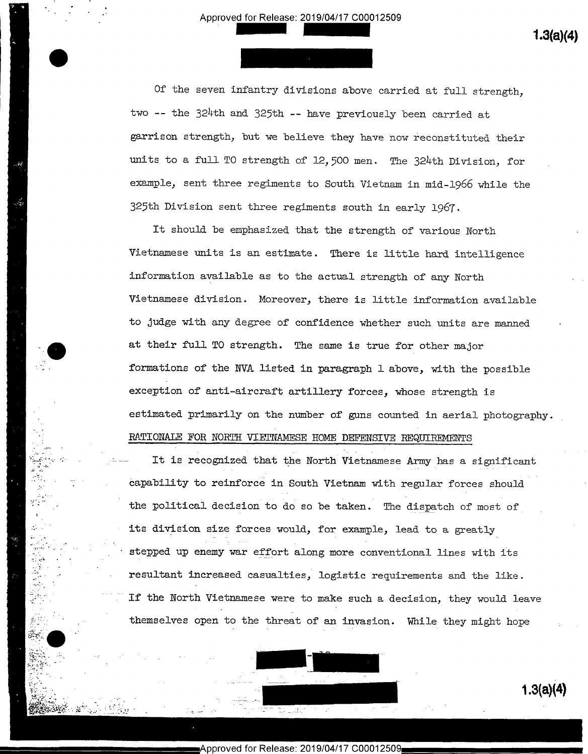$\mathbf{R}$   $\mathbf{S}$   $\mathbf{S}$   $\mathbf{S}$   $\mathbf{S}$   $\mathbf{S}$   $\mathbf{S}$ 

Ļ,

 $\cdot$  .

Of the seven infantry divisions above carried at full strength, two -- the 324th and 325th -- have previously been carried at garrison strength, but we believe they have now reconstituted their units to a full TO strength of 12,500 men. The 324th Division, for example, sent three regiments to South Vietnam in mid-1966 while the 325th Division sent three regiments south in early l96T.

It should be emphasized that the strength of various North Vietnamese units is an estimate. There is little hard intelligence information available as to the actual strength of any North Vietnamese division. Moreover, there is little information available to judge with any degree of confidence whether such units are manned at their full TO strength. The same is true for other major formations of the NVA listed in paragraph 1 above, with the possible exception of anti-aircraft artillery forces, whose strength is estimated primarily on the number of guns counted in aerial photography. RATIONALE FOR NORTH VIETNAMESE HOME DEFENSIVE REQUIREMENTS

It is recognized that the North Vietnamese Army has a significant capability to reinforce in South Vietnam with regular forces should the political decision to do so be taken. The dispatch of most of its division size forces would, for example, lead to a greatly stepped up enemy war effort along more conventional lines with its resultant increased casualties, logistic requirements and the like. If the North Vietnamese were to make such a decision, they would leave themselves open to the threat of an invasion. While they might hope

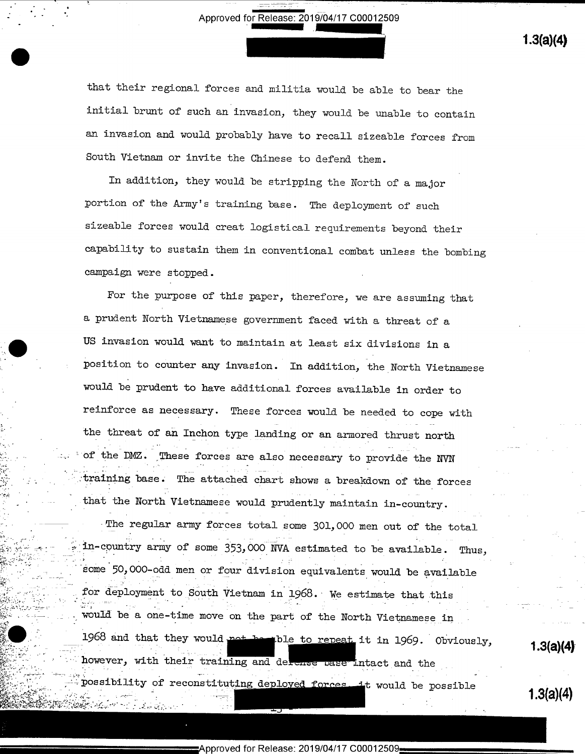that their regional forces and militia would be able to bear the initial brunt of such an invasion, they would be unable to contain an invasion and would probably have to recall sizeable forces from South Vietnam or invite the Chinese to defend them.

In addition, they would be stripping the North of a major portion of the Army's training base. The deployment of such sizeable forces would creat logistical requirements beyond their capability to sustain them in conventional combat unless the bombing campaign were stopped.

For the purpose of this paper, therefore, we are assuming that a prudent North Vietnamese government faced with a threat of a US invasion would want to maintain at least six divisions in a position to counter any invasion. In addition, the North Vietnamese would be prudent to have additional forces available in order to reinforce as necessary. These forces would be needed to cope with the threat of an Inchon type landing or an armored thrust north of the DMZ. These forces are also necessary to provide the NVN training base. The attached chart shows a breakdown of the forces that the North Vietnamese would prudently maintain in-country.

The regular army forces total some 301,000 men out of the total in-country army of some 353,000 NVA estimated to be available. Thus, some 50,000-odd men or four division equivalents would be available for deployment to South Vietnam in 1968. We estimate that this would be a one-time move on the part of the North Vietnamese in 1968 and that they would not be the ble to repeat it in 1969. Obviously, however, with their training and defense pase intact and the possibility of reconstituting deployed forces. it would be possible

 $1.3(a)(4)$ 

 $1.3(a)(4)$ 

 $1.3(a)(4)$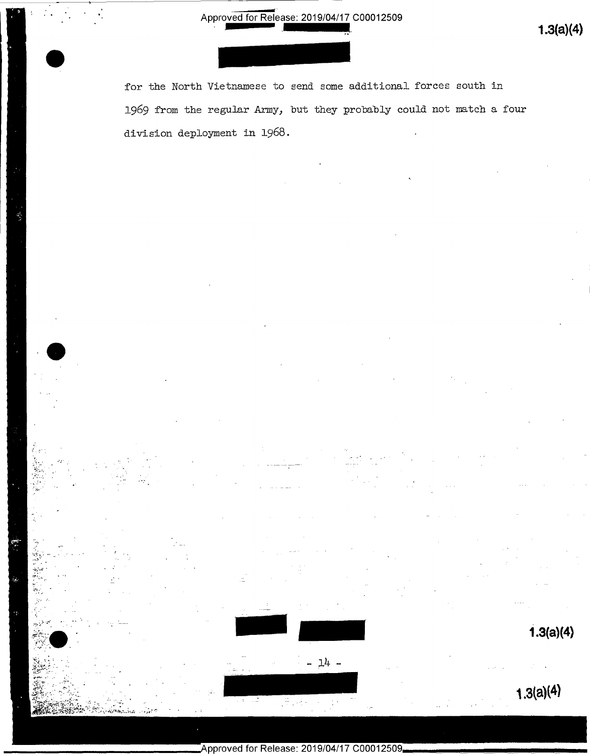$1.3(a)(4)$ 

 $1.3(a)(4)$ 

for the North Vietnamese to send some additional forces south in 1969 from the regular Army, but they probably could not match a four division deployment in 1968.

- 14 -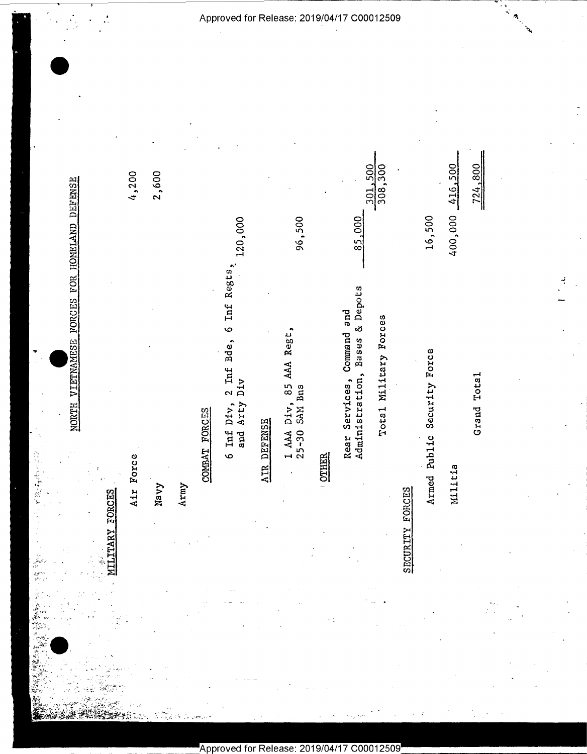|                                                                                                                                                                                        | 4,200     | 2,600 |      |               | 120,000                                                                                    |             | 96,500                                      |              | 85,000                                                             | 308,300<br>301,500    |                                   | 16,500                         | 416,500<br>400,000 | 724,800     |
|----------------------------------------------------------------------------------------------------------------------------------------------------------------------------------------|-----------|-------|------|---------------|--------------------------------------------------------------------------------------------|-------------|---------------------------------------------|--------------|--------------------------------------------------------------------|-----------------------|-----------------------------------|--------------------------------|--------------------|-------------|
| NORTH VIETNAMESE FORCES FOR HOMELAND DEFENSE<br>FORCES<br>.<br>بر<br><b>TTAR</b><br>$\frac{1}{\sqrt{2}}\sum_{i=1}^{n-1}i$                                                              | Air Force | Navy  | Army | COMBAT FORCES | Inf Regts,<br>$\bullet$<br>Bde,<br>$2 \text{ Inf}$<br>Div<br>and Arty<br>Div,<br>Inf.<br>o | AIR DEFENSE | 85 AAA Regt,<br>25-30 SAM Bns<br>1 AAA Div, | <b>OTHER</b> | Administration, Bases & Depots<br>and<br>Command<br>Rear Services, | Total Military Forces | <b>Y FORCES</b><br><b>SECURIT</b> | Security Force<br>Armed Public | Militia            | Grand Total |
| HIN<br>$\mathcal{L}^{\mathcal{P} \times \mathcal{G}}$<br>$\mathcal{V}^{(k)}$ , $\mathcal{V}$<br>(1) 新闻<br>ديد<br>پيدا<br>مرڪ<br>المجمعين.<br>المجموعة<br>$\tilde{\mathcal{A}}$<br>e Kr |           |       |      |               |                                                                                            |             |                                             |              |                                                                    |                       |                                   |                                |                    |             |

 $\frac{1}{2}$ 

Approved for Release: 2019/04/17 C00012509

Ō.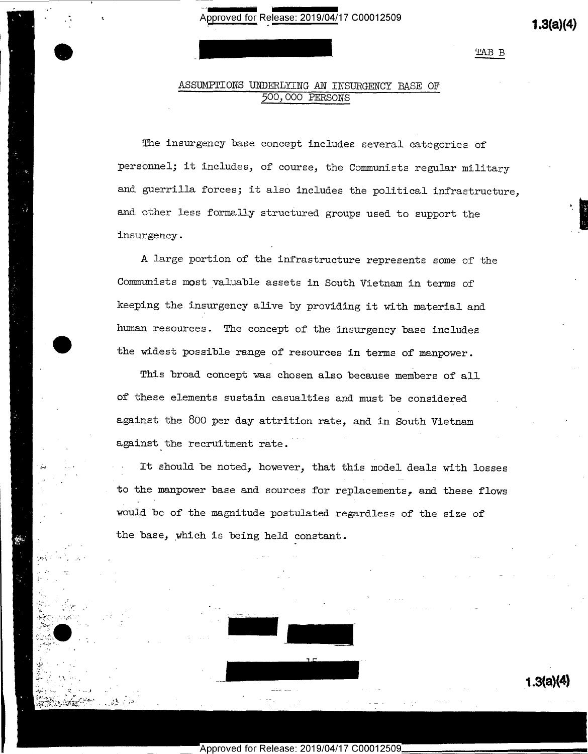TAB B

 $1.3(a)(4)$ 

<sup>h</sup> '

# ASSUMPTIONS UNDERLYING AN INSURGENCY BASE OF 500, OOO PERSONS

The insurgency base concept includes several categories of personnel; it includes, of course, the Communists regular military and guerrilla forces; it also includes the political infrastructure, and other less formally structured groups used to support the insurgency .

A large portion of the infrastructure represents some of the Communists most valuable assets in South Vietnam in terms of keeping the insurgency alive by providing it with material and human resources. The concept of the insurgency base includes the widest possible range of resources in terms of manpower.

This broad concept was chosen also because members of all of these elements sustain casualties and must be considered against the 800 per day attrition rate, and in South Vietnam against the recruitment rate.

It should be noted, however, that this model deals with losses to the manpower base and sources for replacements, and these flows would be of the magnitude postulated regardless of the size of the base, which is being held constant.



Approved for Release: 2019/04/17 C0001

ht

' »-

~

 $\cdot$  ,

 $\mathcal{F}:=\{x\in\mathbb{R}^n\mid x\in\mathbb{R}\}$  $\mathcal{P}$  .  $\blacksquare$  $\cdots$  . The contract of  $\cdots$ 

6월 2017년 - 1989년 - 1989년 - 1989년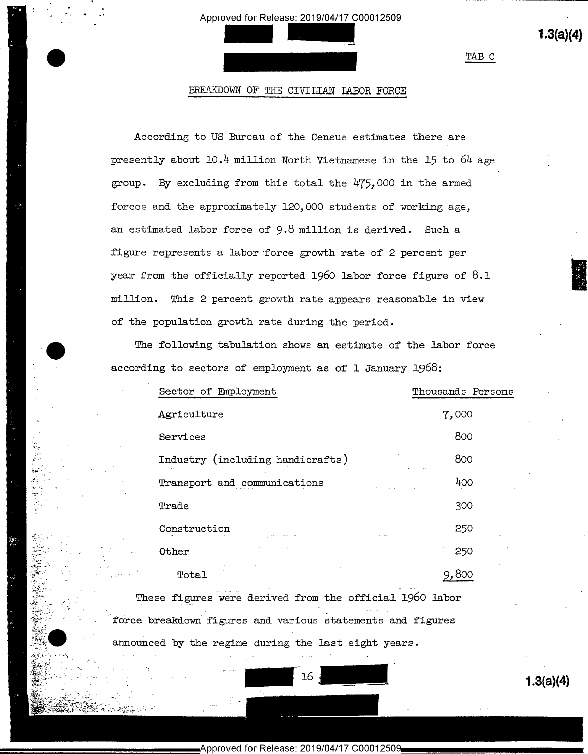$1.3(a)(4)$ 

TAB C

# BREAKDOWN OF THE CIVILLAN LABOR FORCE

According to US Bureau of the Census estimates there are presently about 10.4 million North Vietnamese in the 15 to 64 age group. By excluding from this total the 475,000 in the armed forces and the approximately 120,000 students of working age, an estimated labor force of 9.8 million is derived. Such a figure represents a labor force growth rate of 2 percent per year from the officially reported 1960 labor force figure of  $8.1$ million. This 2 percent growth rate appears reasonable in view of the population growth rate during the period.

The following tabulation shows an estimate of the labor force according to sectors of employment as of 1 January 1968:

| Sector of Employment             | Thousands Persons |
|----------------------------------|-------------------|
| Agriculture                      | 7,000             |
| Services                         | 800               |
| Industry (including handicrafts) | 800               |
| Transport and communications     | 400               |
| Trade                            | 300               |
| Construction                     | 250               |
| Other                            | 250               |
| Total                            |                   |
|                                  |                   |

These figures were derived from the official 1960 labor force breakdown figures and various statements and figures

announced by the regime during the last eight years.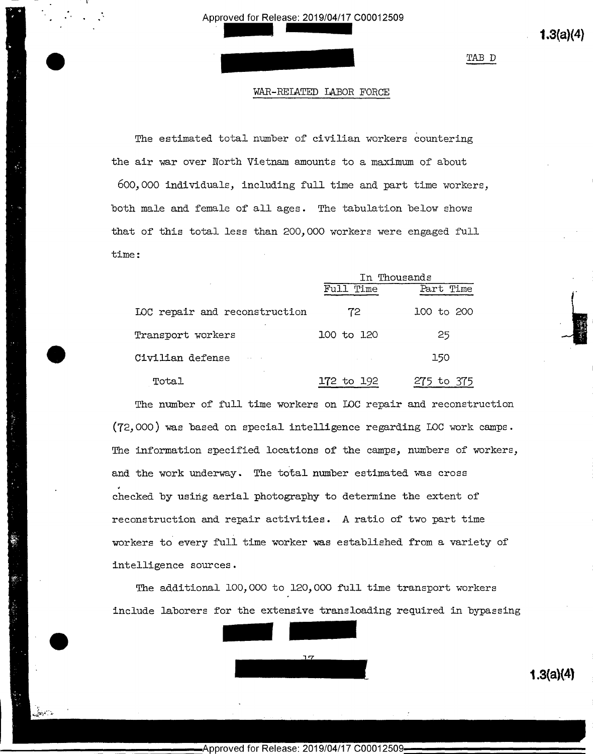Approved for Release: 2019/04/17 C00012509 proved for Release: 2019/04/17 C00012509<br>
(1.3(a)(4)

\

>

u

 $2.3$ 

TAB D

## WAR-RELATED LABOR FORCE

The estimated total number of civilian workers countering the air war over North Vietnam amounts to a maximum of about 600,000 individuals, including full time and part time workers, both male and female of all ages. The tabulation below shows that of this total less than 200,000 workers were engaged full time:

|                               | In Thousands |            |  |
|-------------------------------|--------------|------------|--|
|                               | Full Time    | Part Time  |  |
| LOC repair and reconstruction | 72           | 100 to 200 |  |
| Transport workers             | 100 to 120   | 25         |  |
| Civilian defense              |              | 150        |  |
| Total                         | 172 to 192   | 275 to 375 |  |

The number of full time workers on IOC repair and reconstruction (72,000) was based on special intelligence regarding I00 work camps. The information specified locations of the camps, numbers of workers, and the work underway. The total number estimated was cross checked by using aerial photography to determine the extent of reconstruction and repair activities. A ratio of two part time workers to every full time worker was established from a variety of intelligence sources.

The additional 100,000 to 120,000 full time transport workers include laborers for the extensive transloading required in bypassing  $\frac{17}{1.3(a)(4)}$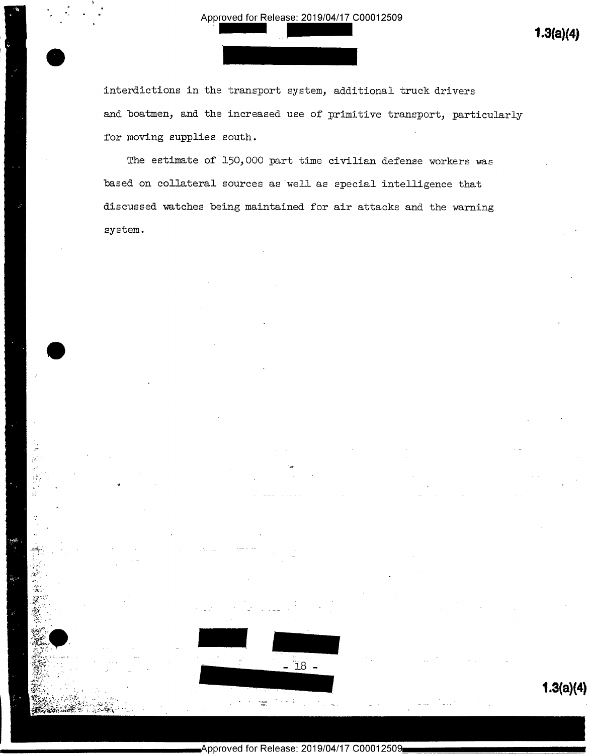interdictions in the transport system, additional truck drivers and boatmen, and the increased use of primitive transport, particularly for moving supplies south.

The estimate of 150,000 part time civilian defense workers was based on collateral sources as well as special intelligence that discussed watches being maintained for air attacks and the warning system.

 $1.3(a)(4)$ 

 $-18$  -

i.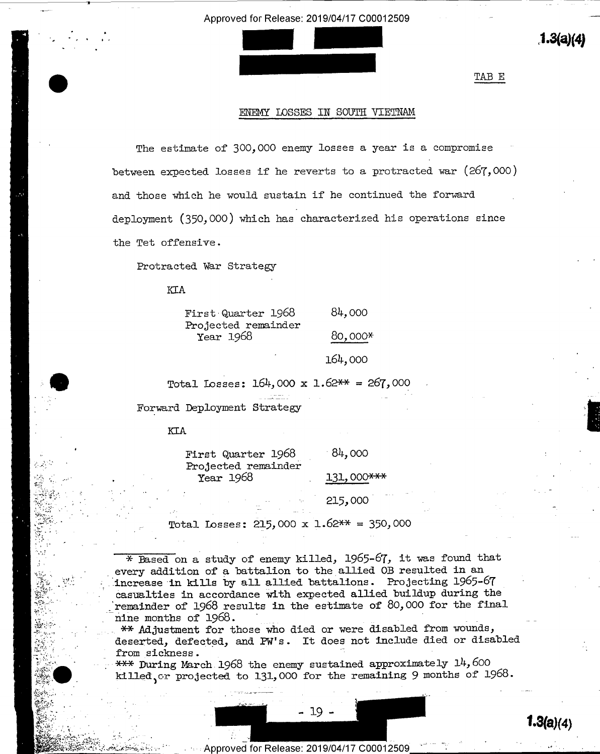

'

"

'

### ENEMY LOSSES IN SOUTH VIETNAM

 $\bullet$  . The contract of the contract of the contract of the contract of the contract of the contract of the contract of the contract of the contract of the contract of the contract of the contract of the contract of the co

The estimate of 300,000 enemy losses a year is a compromise between expected losses if he reverts to a protracted war (267, OOO) and those which he would sustain if he continued the forward deployment (350,000) which has characterized his operations since the Tet offensive.

Protracted War Strategy

KIA

 $-$ 

| First Quarter 1968               | 84,000  |
|----------------------------------|---------|
| Projected remainder<br>Year 1968 | 80,000* |
| ٠                                | 164,000 |

Total Losses:  $164,000 \times 1.62** = 267,000$ 

Forward Deployment Strategy

# KIA

2007 - An an Aonaichte ann an Aonaichte ann an Aonaichte ann an Aonaichte ann an Aonaichte ann an Aonaichte an

tee:-1,. '

luv .

 $-2.59$ 

2.  $-$ "-=.-1.3-\*..

 $x^*$   $\cdots$  $\mathbb{R}$ . We are '

9'

 $\mathbb{R}$  is a set of  $\mathbb{R}^n$  , then  $\mathbb{R}^n$ - ,.A,... H ',...\_' ..-;,,,-.

|                     | First Quarter 1968               | 84,000     |  |
|---------------------|----------------------------------|------------|--|
| المتحرج<br>i.<br>Ch | Projected remainder<br>Year 1968 | 131,000*** |  |
|                     |                                  |            |  |
|                     |                                  | 215,000    |  |

Total Losses: 215,000 x 1.62\*\* = 350,000

\* Based on a. study of enemy killed, 1965-67, it was found that every addition of a battalion to the allied OB resulted in an increase in kills by all allied battalions. Projecting 1965-67 casualties in accordance with expected allied buildup during the remainder of 1968 results in the estimate of 80,000 for the final nine months of 1968. , \_ \_ \_ \_ \_ \_ \_ \_ \_ \_ \_ \_ \_ \_

\*\* Adjustment for those who died or were disabled from wounds, deserted, defected, and PW's. It does not include died or disabled<br>from sickness.  $\blacksquare$  . The sickness.  $\blacksquare$ 

 $\frac{***}{*}$  During March 1968 the enemy sustained approximately 14, 600 killed, or projected to 131,000 for the remaining 9 months of 1968.

- 19 -

 $V$  s  $\sim$   $V$  ,  $\sim$   $V$  ,  $\sim$   $V$  ,  $\sim$   $V$  ,  $\sim$   $V$  ,  $\sim$   $V$  ,  $\sim$   $V$  ,  $\sim$   $V$  ,  $\sim$   $V$  ,  $\sim$   $V$  ,  $\sim$   $V$  ,  $\sim$   $V$  ,  $\sim$   $V$  ,  $\sim$   $V$  ,  $\sim$   $V$  ,  $\sim$   $V$  ,  $\sim$   $V$  ,  $\sim$   $V$  ,  $\sim$   $V$  ,  $\sim$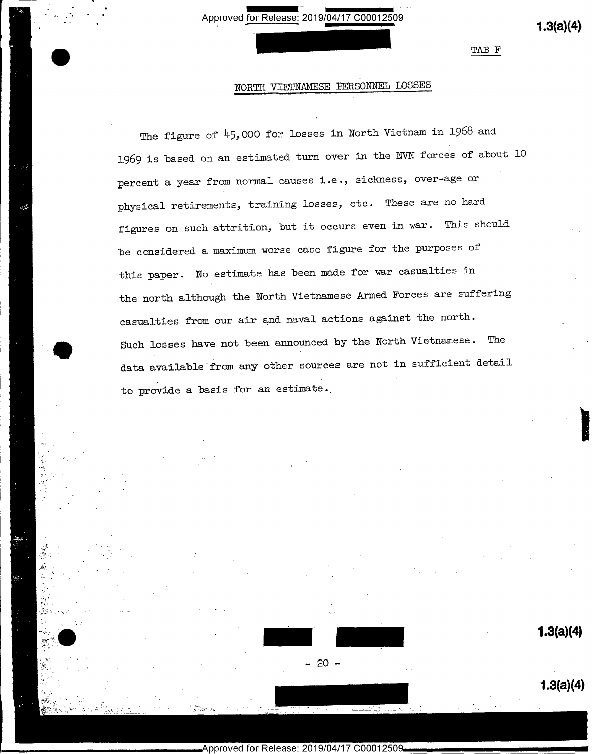for Release: 2019/04/17 C00012509 Approved for Release: 2019/04/17 C00012509 (1.3(a)(4)

V

a

~a ~

'

 $\sim$  1.1  $\sim$  1.1  $\sim$  1.1  $\sim$ 

1 v 1.

 $t_{\alpha}$ 

"-L

-\_ Jr

1

'-5. .  $\mathcal{L}^{\text{max}}_{\text{max}}$ 

\ ,-'-'\*-7?»

TAB F

# NORTH VIETNAMESE PERSONNEL LOSSES

The figure of 45,000 for losses in North Vietnam in 1968 and 1969 is based on an estimated turn over in the NVN forces of about lO percent a year from normal causes i.e., sickness, over-age or physical retirements, training losses, etc. These are no hard figures on such attrition, but it occurs even in war. This should be considered a maximum worse case figure for the purposes of this paper. No estimate has been made for war casualties in the north although the North Vietnamese Armed Forces are suffering casualties from our air and naval actions against the north. Such losses have not been announced by the North Vietnamese. The data available from any other sources are not in sufficient detail to provide a basis for an estimate.,

 $-20 -$ 

C00012509

2., .' '

Approved for Release: 2019/04/17

 $1.3(a)(4)$ 

E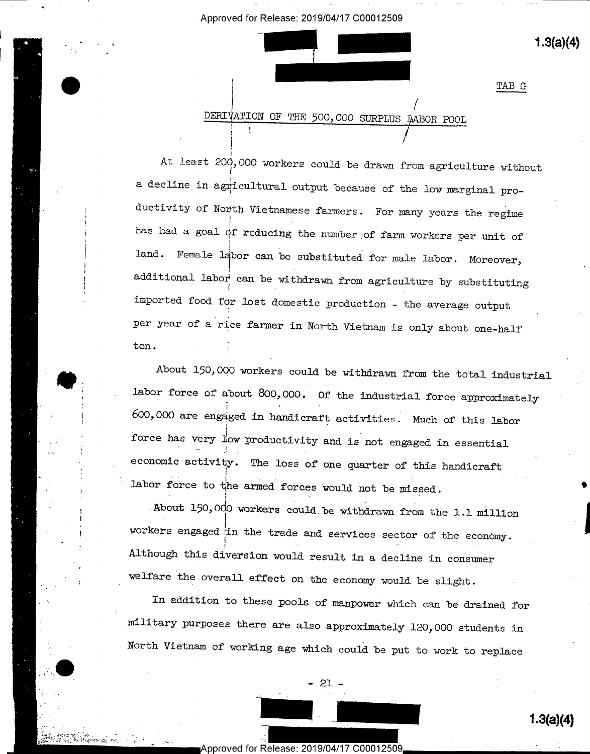c

 $1.3(a)(4)$ 

 $1.3(a)(4)$ 

TAB G

<sup>i</sup> / DERIVATION OF THE 500,000 SURPLUS LABOR POOL

At least 200,000 workers could be drawn from agriculture without a decline in agricultural output because of the low marginal productivity of North Vietnamese farmers. For many years the regime has had a goal of reducing the number of farm workers per unit of land. Female labor can be substituted for male labor. Moreover, additional labor can be withdrawn from agriculture by substituting imported food for lost domestic production - the average output per year of a rice farmer in North Vietnam is only about one-half ton.

About 150,000 workers could be withdrawn from the total industrial labor force of about 800,000. Of the industrial force approximately 600,000 are engaged in handicraft activities§ Much of this labor force has very low productivity and is not engaged in essential economic activity. The loss of one quarter of this handicraft labor force to the armed forces would not be missed.

About 150,000 workers could be withdrawn from the 1.1 million workers engaged in the trade and services sector of the economy. Although this diversion would result in a decline in consumer welfare the overall effect on the economy would be slight.

In addition to these pools of manpower which can be drained for military purposes there are also approximately 120,000 students in North Vietnam of working age which could be put to work to replace

 $21 -$ 

V